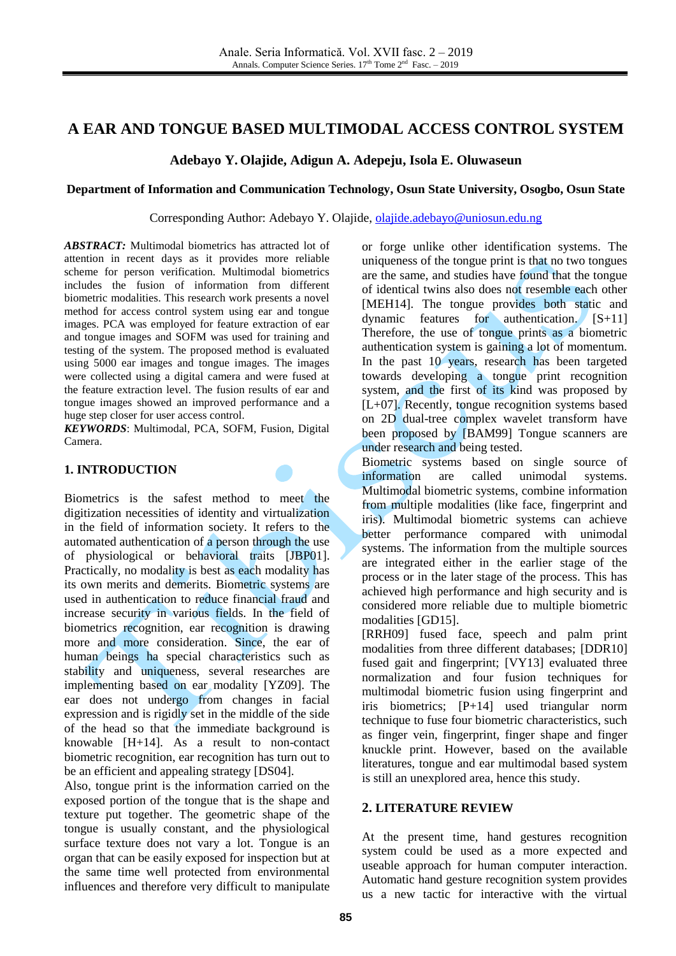# **A EAR AND TONGUE BASED MULTIMODAL ACCESS CONTROL SYSTEM**

## **Adebayo Y. Olajide, Adigun A. Adepeju, Isola E. Oluwaseun**

### **Department of Information and Communication Technology, Osun State University, Osogbo, Osun State**

Corresponding Author: Adebayo Y. Olajide, [olajide.adebayo@uniosun.edu.ng](mailto:olajide.adebayo@uniosun.edu.ng)

*ABSTRACT:* Multimodal biometrics has attracted lot of attention in recent days as it provides more reliable scheme for person verification. Multimodal biometrics includes the fusion of information from different biometric modalities. This research work presents a novel method for access control system using ear and tongue images. PCA was employed for feature extraction of ear and tongue images and SOFM was used for training and testing of the system. The proposed method is evaluated using 5000 ear images and tongue images. The images were collected using a digital camera and were fused at the feature extraction level. The fusion results of ear and tongue images showed an improved performance and a huge step closer for user access control.

*KEYWORDS*: Multimodal, PCA, SOFM, Fusion, Digital Camera.

## **1. INTRODUCTION**

Biometrics is the safest method to meet the digitization necessities of identity and virtualization in the field of information society. It refers to the automated authentication of a person through the use of physiological or behavioral traits [JBP01]. Practically, no modality is best as each modality has its own merits and demerits. Biometric systems are used in authentication to reduce financial fraud and increase security in various fields. In the field of biometrics recognition, ear recognition is drawing more and more consideration. Since, the ear of human beings ha special characteristics such as stability and uniqueness, several researches are implementing based on ear modality [YZ09]. The ear does not undergo from changes in facial expression and is rigidly set in the middle of the side of the head so that the immediate background is knowable [H+14]. As a result to non-contact biometric recognition, ear recognition has turn out to be an efficient and appealing strategy [DS04].

Also, tongue print is the information carried on the exposed portion of the tongue that is the shape and texture put together. The geometric shape of the tongue is usually constant, and the physiological surface texture does not vary a lot. Tongue is an organ that can be easily exposed for inspection but at the same time well protected from environmental influences and therefore very difficult to manipulate

or forge unlike other identification systems. The uniqueness of the tongue print is that no two tongues are the same, and studies have found that the tongue of identical twins also does not resemble each other [MEH14]. The tongue provides both static and dynamic features for authentication. [S+11] Therefore, the use of tongue prints as a biometric authentication system is gaining a lot of momentum. In the past 10 years, research has been targeted towards developing a tongue print recognition system, and the first of its kind was proposed by [L+07]. Recently, tongue recognition systems based on 2D dual-tree complex wavelet transform have been proposed by [BAM99] Tongue scanners are under research and being tested.

Biometric systems based on single source of information are called unimodal systems. Multimodal biometric systems, combine information from multiple modalities (like face, fingerprint and iris). Multimodal biometric systems can achieve better performance compared with unimodal systems. The information from the multiple sources are integrated either in the earlier stage of the process or in the later stage of the process. This has achieved high performance and high security and is considered more reliable due to multiple biometric modalities [GD15].

[RRH09] fused face, speech and palm print modalities from three different databases; [DDR10] fused gait and fingerprint; [VY13] evaluated three normalization and four fusion techniques for multimodal biometric fusion using fingerprint and iris biometrics; [P+14] used triangular norm technique to fuse four biometric characteristics, such as finger vein, fingerprint, finger shape and finger knuckle print. However, based on the available literatures, tongue and ear multimodal based system is still an unexplored area, hence this study.

### **2. LITERATURE REVIEW**

At the present time, hand gestures recognition system could be used as a more expected and useable approach for human computer interaction. Automatic hand gesture recognition system provides us a new tactic for interactive with the virtual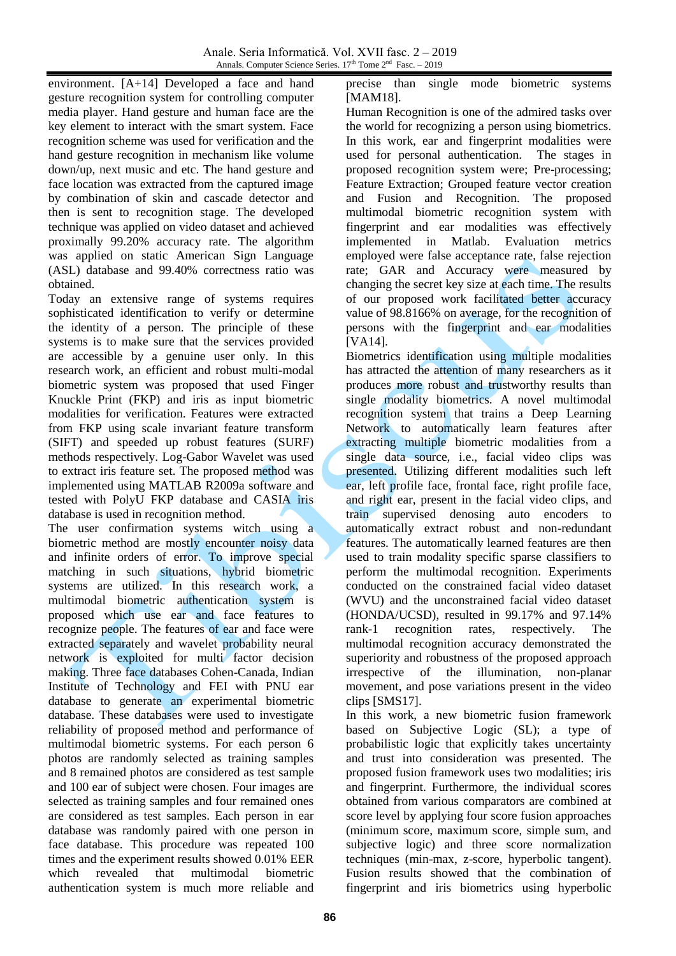environment. [A+14] Developed a face and hand gesture recognition system for controlling computer media player. Hand gesture and human face are the key element to interact with the smart system. Face recognition scheme was used for verification and the hand gesture recognition in mechanism like volume down/up, next music and etc. The hand gesture and face location was extracted from the captured image by combination of skin and cascade detector and then is sent to recognition stage. The developed technique was applied on video dataset and achieved proximally 99.20% accuracy rate. The algorithm was applied on static American Sign Language (ASL) database and 99.40% correctness ratio was obtained.

Today an extensive range of systems requires sophisticated identification to verify or determine the identity of a person. The principle of these systems is to make sure that the services provided are accessible by a genuine user only. In this research work, an efficient and robust multi-modal biometric system was proposed that used Finger Knuckle Print (FKP) and iris as input biometric modalities for verification. Features were extracted from FKP using scale invariant feature transform (SIFT) and speeded up robust features (SURF) methods respectively. Log-Gabor Wavelet was used to extract iris feature set. The proposed method was implemented using MATLAB R2009a software and tested with PolyU FKP database and CASIA iris database is used in recognition method.

The user confirmation systems witch using a biometric method are mostly encounter noisy data and infinite orders of error. To improve special matching in such situations, hybrid biometric systems are utilized. In this research work, a multimodal biometric authentication system is proposed which use ear and face features to recognize people. The features of ear and face were extracted separately and wavelet probability neural network is exploited for multi factor decision making. Three face databases Cohen-Canada, Indian Institute of Technology and FEI with PNU ear database to generate an experimental biometric database. These databases were used to investigate reliability of proposed method and performance of multimodal biometric systems. For each person 6 photos are randomly selected as training samples and 8 remained photos are considered as test sample and 100 ear of subject were chosen. Four images are selected as training samples and four remained ones are considered as test samples. Each person in ear database was randomly paired with one person in face database. This procedure was repeated 100 times and the experiment results showed 0.01% EER which revealed that multimodal biometric authentication system is much more reliable and

precise than single mode biometric systems [MAM18].

Human Recognition is one of the admired tasks over the world for recognizing a person using biometrics. In this work, ear and fingerprint modalities were used for personal authentication. The stages in proposed recognition system were; Pre-processing; Feature Extraction; Grouped feature vector creation and Fusion and Recognition. The proposed multimodal biometric recognition system with fingerprint and ear modalities was effectively implemented in Matlab. Evaluation metrics employed were false acceptance rate, false rejection rate; GAR and Accuracy were measured by changing the secret key size at each time. The results of our proposed work facilitated better accuracy value of 98.8166% on average, for the recognition of persons with the fingerprint and ear modalities [VA14].

Biometrics identification using multiple modalities has attracted the attention of many researchers as it produces more robust and trustworthy results than single modality biometrics. A novel multimodal recognition system that trains a Deep Learning Network to automatically learn features after extracting multiple biometric modalities from a single data source, i.e., facial video clips was presented. Utilizing different modalities such left ear, left profile face, frontal face, right profile face, and right ear, present in the facial video clips, and train supervised denosing auto encoders to automatically extract robust and non-redundant features. The automatically learned features are then used to train modality specific sparse classifiers to perform the multimodal recognition. Experiments conducted on the constrained facial video dataset (WVU) and the unconstrained facial video dataset (HONDA/UCSD), resulted in 99.17% and 97.14% rank-1 recognition rates, respectively. The multimodal recognition accuracy demonstrated the superiority and robustness of the proposed approach irrespective of the illumination, non-planar movement, and pose variations present in the video clips [SMS17].

In this work, a new biometric fusion framework based on Subjective Logic (SL); a type of probabilistic logic that explicitly takes uncertainty and trust into consideration was presented. The proposed fusion framework uses two modalities; iris and fingerprint. Furthermore, the individual scores obtained from various comparators are combined at score level by applying four score fusion approaches (minimum score, maximum score, simple sum, and subjective logic) and three score normalization techniques (min-max, z-score, hyperbolic tangent). Fusion results showed that the combination of fingerprint and iris biometrics using hyperbolic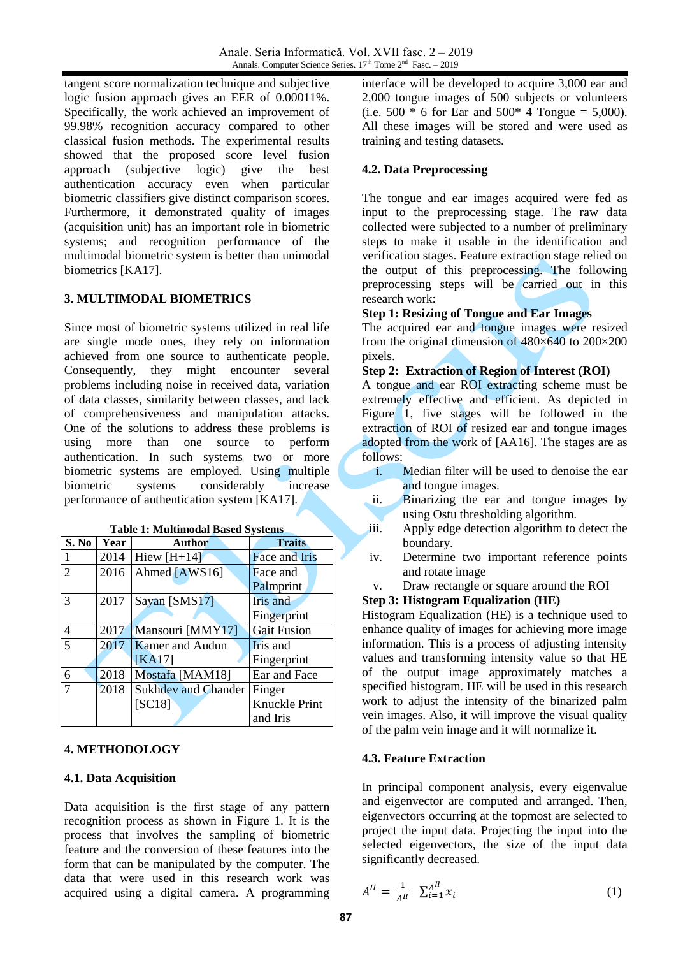tangent score normalization technique and subjective logic fusion approach gives an EER of 0.00011%. Specifically, the work achieved an improvement of 99.98% recognition accuracy compared to other classical fusion methods. The experimental results showed that the proposed score level fusion approach (subjective logic) give the best authentication accuracy even when particular biometric classifiers give distinct comparison scores. Furthermore, it demonstrated quality of images (acquisition unit) has an important role in biometric systems; and recognition performance of the multimodal biometric system is better than unimodal biometrics [KA17].

## **3. MULTIMODAL BIOMETRICS**

Since most of biometric systems utilized in real life are single mode ones, they rely on information achieved from one source to authenticate people. Consequently, they might encounter several problems including noise in received data, variation of data classes, similarity between classes, and lack of comprehensiveness and manipulation attacks. One of the solutions to address these problems is using more than one source to perform authentication. In such systems two or more biometric systems are employed. Using multiple biometric systems considerably increase performance of authentication system [KA17].

**Table 1: Multimodal Based Systems**

| S. No          | Year | <b>Author</b>              | <b>Traits</b>        |
|----------------|------|----------------------------|----------------------|
|                | 2014 | Hiew $[H+14]$              | <b>Face and Iris</b> |
| $\overline{2}$ | 2016 | Ahmed [AWS16]              | Face and             |
|                |      |                            | Palmprint            |
| 3              | 2017 | Sayan [SMS17]              | Iris and             |
|                |      |                            | Fingerprint          |
| $\overline{4}$ | 2017 | Mansouri [MMY17]           | <b>Gait Fusion</b>   |
| 5              | 2017 | <b>Kamer</b> and Audun     | Iris and             |
|                |      | KA17                       | Fingerprint          |
| 6              | 2018 | Mostafa [MAM18]            | Ear and Face         |
| $\tau$         | 2018 | <b>Sukhdev and Chander</b> | Finger               |
|                |      | [SC18]                     | Knuckle Print        |
|                |      |                            | and Iris             |

### **4. METHODOLOGY**

### **4.1. Data Acquisition**

Data acquisition is the first stage of any pattern recognition process as shown in Figure 1. It is the process that involves the sampling of biometric feature and the conversion of these features into the form that can be manipulated by the computer. The data that were used in this research work was acquired using a digital camera. A programming

interface will be developed to acquire 3,000 ear and 2,000 tongue images of 500 subjects or volunteers (i.e. 500  $*$  6 for Ear and 500 $*$  4 Tongue = 5,000). All these images will be stored and were used as training and testing datasets.

### **4.2. Data Preprocessing**

The tongue and ear images acquired were fed as input to the preprocessing stage. The raw data collected were subjected to a number of preliminary steps to make it usable in the identification and verification stages. Feature extraction stage relied on the output of this preprocessing. The following preprocessing steps will be carried out in this research work:

## **Step 1: Resizing of Tongue and Ear Images**

The acquired ear and tongue images were resized from the original dimension of  $480\times640$  to  $200\times200$ pixels.

### **Step 2: Extraction of Region of Interest (ROI)**

A tongue and ear ROI extracting scheme must be extremely effective and efficient. As depicted in Figure 1, five stages will be followed in the extraction of ROI of resized ear and tongue images adopted from the work of [AA16]. The stages are as follows:

- i. Median filter will be used to denoise the ear and tongue images.
- ii. Binarizing the ear and tongue images by using Ostu thresholding algorithm.
- iii. Apply edge detection algorithm to detect the boundary.
- iv. Determine two important reference points and rotate image
- v. Draw rectangle or square around the ROI

### **Step 3: Histogram Equalization (HE)**

Histogram Equalization (HE) is a technique used to enhance quality of images for achieving more image information. This is a process of adjusting intensity values and transforming intensity value so that HE of the output image approximately matches a specified histogram. HE will be used in this research work to adjust the intensity of the binarized palm vein images. Also, it will improve the visual quality of the palm vein image and it will normalize it.

### **4.3. Feature Extraction**

In principal component analysis, every eigenvalue and eigenvector are computed and arranged. Then, eigenvectors occurring at the topmost are selected to project the input data. Projecting the input into the selected eigenvectors, the size of the input data significantly decreased.

$$
A^{II} = \frac{1}{A^{II}} \sum_{i=1}^{A^{II}} x_i
$$
 (1)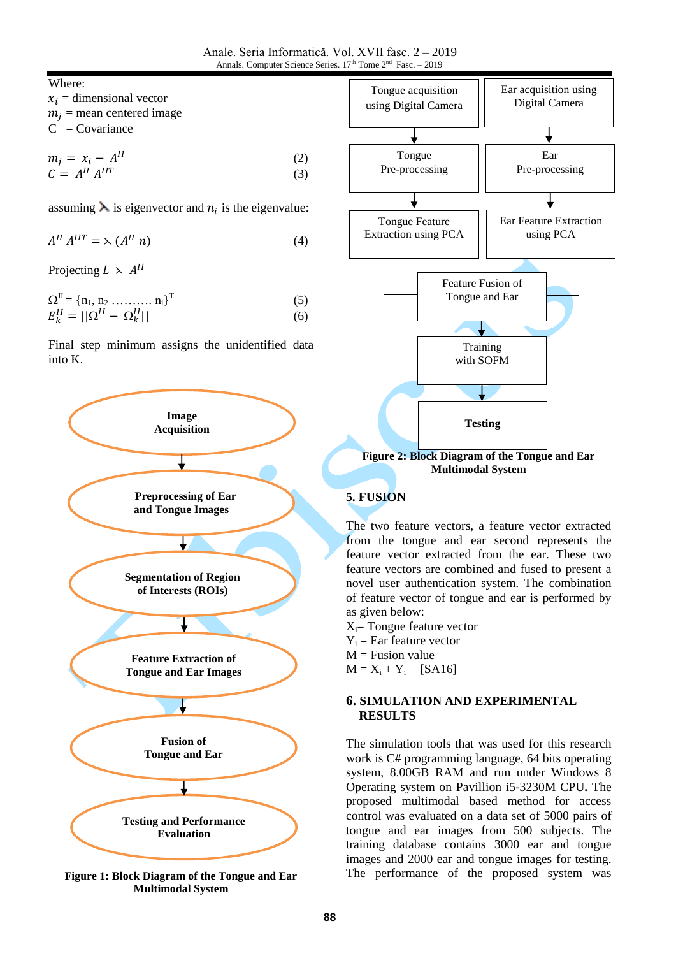Where:

| $x_i$ = dimensional vector  |
|-----------------------------|
| $m_i$ = mean centered image |
| $C = Covariance$            |

$$
m_j = x_i - A^{II}
$$
  
\n
$$
C = A^{II} A^{IIT}
$$
\n(2)  
\n(3)

assuming  $\lambda$  is eigenvector and  $n_i$  is the eigenvalue:

$$
A^{II} A^{III} = \lambda (A^{II} n) \tag{4}
$$

Projecting  $L \times A^I$ 

$$
\Omega^{\text{II}} = \left\{ n_1, n_2 \dots \dots \dots n_i \right\}^{\text{T}}
$$
 (5)

$$
E_k^{II} = ||\Omega^{II} - \Omega_k^{II}|| \tag{6}
$$

Final step minimum assigns the unidentified data into K.



**Figure 1: Block Diagram of the Tongue and Ear Multimodal System**



**Multimodal System**

## **5. FUSION**

The two feature vectors, a feature vector extracted from the tongue and ear second represents the feature vector extracted from the ear. These two feature vectors are combined and fused to present a novel user authentication system. The combination of feature vector of tongue and ear is performed by as given below:

 $X_i$ = Tongue feature vector  $Y_i$  = Ear feature vector  $M =$  Fusion value

 $M = X_i + Y_i$  [SA16]

## **6. SIMULATION AND EXPERIMENTAL RESULTS**

The simulation tools that was used for this research work is C# programming language, 64 bits operating system, 8.00GB RAM and run under Windows 8 Operating system on Pavillion i5-3230M CPU**.** The proposed multimodal based method for access control was evaluated on a data set of 5000 pairs of tongue and ear images from 500 subjects. The training database contains 3000 ear and tongue images and 2000 ear and tongue images for testing. The performance of the proposed system was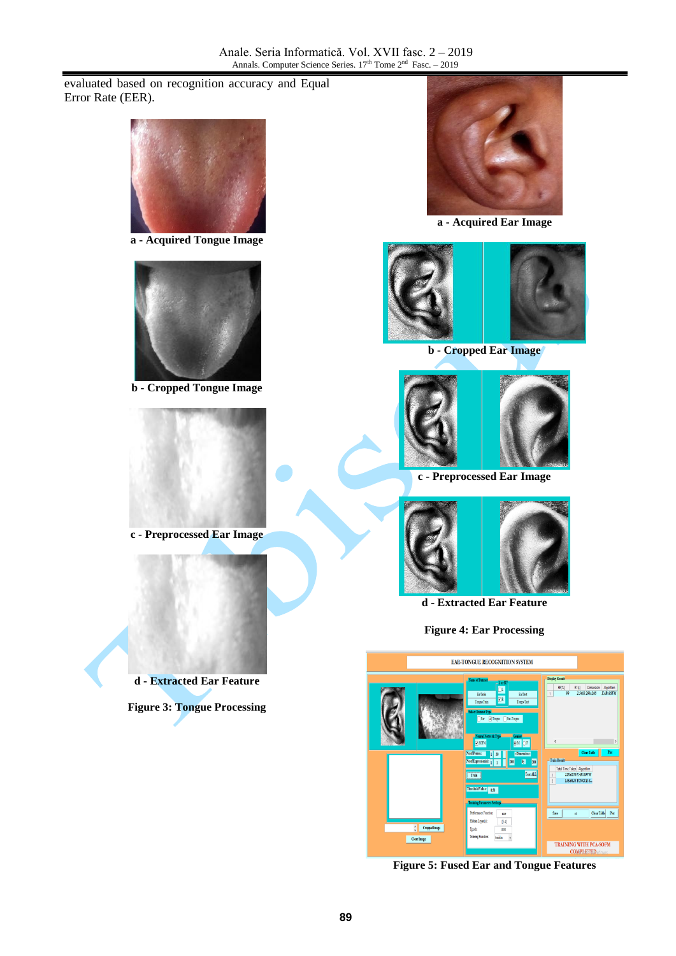evaluated based on recognition accuracy and Equal Error Rate (EER).



**a - Acquired Tongue Image**



**b - Cropped Tongue Image**



**c - Preprocessed Ear Image**



**Figure 3: Tongue Processing**



**a - Acquired Ear Image**



**b - Cropped Ear Image**



**c - Preprocessed Ear Image** 



**d - Extracted Ear Feature**

**Figure 4: Ear Processing**



**Figure 5: Fused Ear and Tongue Features**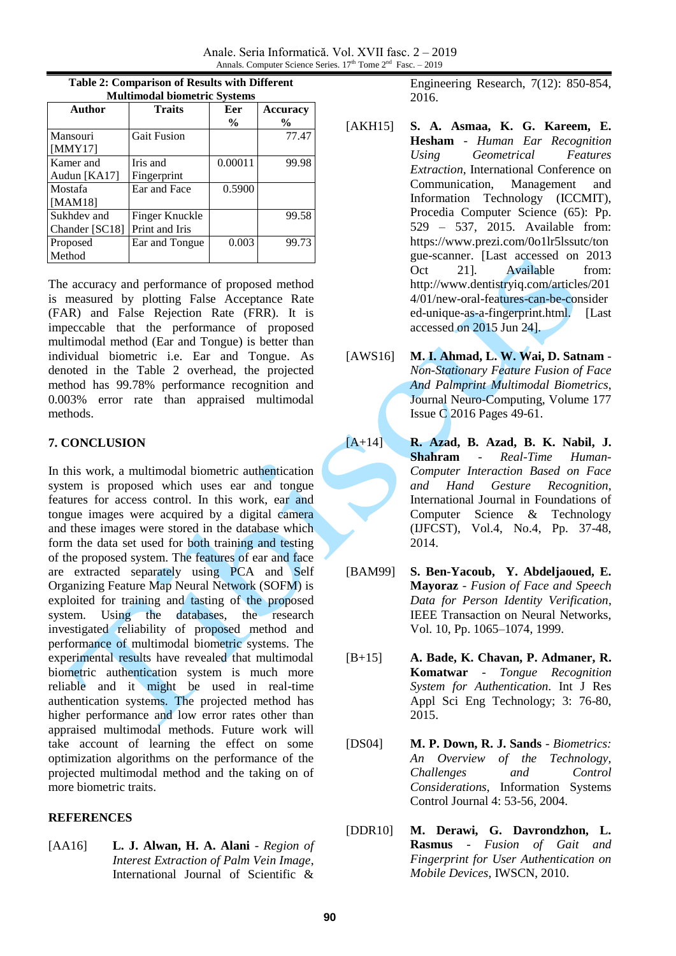Anale. Seria Informatică. Vol. XVII fasc. 2 – 2019 Annals. Computer Science Series.  $17<sup>th</sup>$  Tome  $2<sup>nd</sup>$  Fasc.  $-2019$ 

| манитоми эютей ге эзость |                    |               |                 |  |  |  |
|--------------------------|--------------------|---------------|-----------------|--|--|--|
| Author                   | <b>Traits</b>      | Eer           | <b>Accuracy</b> |  |  |  |
|                          |                    | $\frac{6}{9}$ | $\frac{0}{0}$   |  |  |  |
| Mansouri                 | <b>Gait Fusion</b> |               | 77.47           |  |  |  |
| [MMY17]                  |                    |               |                 |  |  |  |
| Kamer and                | Iris and           | 0.00011       | 99.98           |  |  |  |
| Audun [KA17]             | Fingerprint        |               |                 |  |  |  |
| Mostafa                  | Ear and Face       | 0.5900        |                 |  |  |  |
| [MAM18]                  |                    |               |                 |  |  |  |
| Sukhdev and              | Finger Knuckle     |               | 99.58           |  |  |  |
| Chander [SC18]           | Print and Iris     |               |                 |  |  |  |
| Proposed                 | Ear and Tongue     | 0.003         | 99.73           |  |  |  |
| Method                   |                    |               |                 |  |  |  |

| Table 2: Comparison of Results with Different |  |  |  |  |  |
|-----------------------------------------------|--|--|--|--|--|
| <b>Multimodal biometric Systems</b>           |  |  |  |  |  |

The accuracy and performance of proposed method is measured by plotting False Acceptance Rate (FAR) and False Rejection Rate (FRR). It is impeccable that the performance of proposed multimodal method (Ear and Tongue) is better than individual biometric i.e. Ear and Tongue. As denoted in the Table 2 overhead, the projected method has 99.78% performance recognition and 0.003% error rate than appraised multimodal methods.

## **7. CONCLUSION**

In this work, a multimodal biometric authentication system is proposed which uses ear and tongue features for access control. In this work, ear and tongue images were acquired by a digital camera and these images were stored in the database which form the data set used for both training and testing of the proposed system. The features of ear and face are extracted separately using PCA and Self Organizing Feature Map Neural Network (SOFM) is exploited for training and tasting of the proposed system. Using the databases, the research investigated reliability of proposed method and performance of multimodal biometric systems. The experimental results have revealed that multimodal biometric authentication system is much more reliable and it might be used in real-time authentication systems. The projected method has higher performance and low error rates other than appraised multimodal methods. Future work will take account of learning the effect on some optimization algorithms on the performance of the projected multimodal method and the taking on of more biometric traits.

## **REFERENCES**

[AA16] **L. J. Alwan, H. A. Alani** - *Region of Interest Extraction of Palm Vein Image*, International Journal of Scientific &

Engineering Research, 7(12): 850-854, 2016.

- [AKH15] **S. A. Asmaa, K. G. Kareem, E. Hesham** - *Human Ear Recognition Using Geometrical Features Extraction*, International Conference on Communication, Management and Information Technology (ICCMIT), Procedia Computer Science (65): Pp. 529 – 537, 2015. Available from: https://www.prezi.com/0o1lr5lssutc/ton gue-scanner. [Last accessed on 2013 Oct 21]. Available from: http://www.dentistryiq.com/articles/201 4/01/new-oral-features-can-be-consider ed-unique-as-a-fingerprint.html. [Last accessed on 2015 Jun 24].
- [AWS16] **M. I. Ahmad, L. W. [Wai, D](https://dl.acm.org/author_page.cfm?id=84460702457&coll=DL&dl=ACM&trk=0). [Satnam](https://dl.acm.org/author_page.cfm?id=81100395878&coll=DL&dl=ACM&trk=0)** *Non-Stationary Feature Fusion of Face And Palmprint Multimodal Biometrics*, Journal Neuro-Computing, Volume 177 Issue C 2016 Pages 49-61.
- [A+14] **R. Azad, B. Azad, B. K. Nabil, J. Shahram** - *Real-Time Human-Computer Interaction Based on Face and Hand Gesture Recognition*, International Journal in Foundations of Computer Science & Technology (IJFCST), Vol.4, No.4, Pp. 37-48, 2014.
- [BAM99] **S. Ben-Yacoub, Y. Abdeljaoued, E. Mayoraz** - *Fusion of Face and Speech Data for Person Identity Verification*, IEEE Transaction on Neural Networks, Vol. 10, Pp. 1065–1074, 1999.
- [B+15] **A. Bade, K. Chavan, P. Admaner, R. Komatwar** - *Tongue Recognition System for Authentication*. Int J Res Appl Sci Eng Technology; 3: 76-80, 2015.
- [DS04] **M. P. Down, R. J. Sands** *Biometrics: An Overview of the Technology, Challenges and Control Considerations*, Information Systems Control Journal 4: 53-56, 2004.
- [DDR10] **M. Derawi, G. Davrondzhon, L. Rasmus** - *Fusion of Gait and Fingerprint for User Authentication on Mobile Devices*, IWSCN, 2010.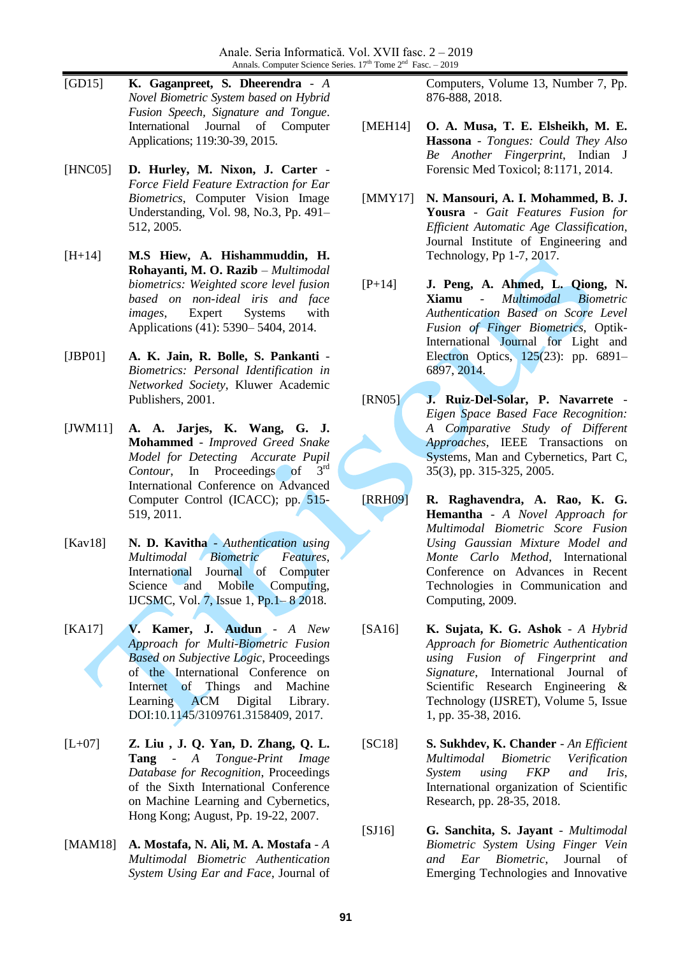Anale. Seria Informatică. Vol. XVII fasc. 2 – 2019 Annals. Computer Science Series.  $17<sup>th</sup>$  Tome  $2<sup>nd</sup>$  Fasc.  $-2019$ 

- [GD15] **K. Gaganpreet, S. Dheerendra** *A Novel Biometric System based on Hybrid Fusion Speech, Signature and Tongue*. International Journal of Computer Applications; 119:30-39, 2015.
- [HNC05] **D. Hurley, M. Nixon, J. Carter** *Force Field Feature Extraction for Ear Biometrics*, Computer Vision Image Understanding, Vol. 98, No.3, Pp. 491– 512, 2005.
- [H+14] **M.S Hiew, A. Hishammuddin, H. Rohayanti, M. O. Razib** – *Multimodal biometrics: Weighted score level fusion based on non-ideal iris and face images*, Expert Systems with Applications (41): 5390– 5404, 2014.
- [JBP01] **A. K. Jain, R. Bolle, S. Pankanti** *Biometrics: Personal Identification in Networked Society*, Kluwer Academic Publishers, 2001.
- [JWM11] **A. A. Jarjes, K. Wang, G. J. Mohammed** - *Improved Greed Snake Model for Detecting Accurate Pupil Contour*, In Proceedings of 3<sup>rd</sup> International Conference on Advanced Computer Control (ICACC); pp. 515- 519, 2011.
- [Kav18] **N. D. Kavitha** *Authentication using Multimodal Biometric Features*, International Journal of Computer Science and Mobile Computing, IJCSMC, Vol. 7, Issue 1, Pp.1– 8 2018.
- [KA17] **V. Kamer, J. Audun** *A New Approach for Multi-Biometric Fusion Based on Subjective Logic*, Proceedings of the International Conference on Internet of Things and Machine Learning ACM Digital Library. DOI:10.1145/3109761.3158409, 2017.
- [L+07] **Z. Liu , J. Q. Yan, D. Zhang, Q. L. Tang** - *A Tongue-Print Image Database for Recognition*, Proceedings of the Sixth International Conference on Machine Learning and Cybernetics, Hong Kong; August, Pp. 19-22, 2007.
- [MAM18] **A. Mostafa, N. Ali, M. A. Mostafa** *A Multimodal Biometric Authentication System Using Ear and Face*, Journal of

Computers, Volume 13, Number 7, Pp. 876-888, 2018.

- [MEH14] **O. A. Musa, T. E. Elsheikh, M. E. Hassona** - *Tongues: Could They Also Be Another Fingerprint*, Indian J Forensic Med Toxicol; 8:1171, 2014.
- [MMY17] **N. Mansouri, A. I. Mohammed, B. J. Yousra** - *Gait Features Fusion for Efficient Automatic Age Classification*, Journal Institute of Engineering and Technology, Pp 1-7, 2017.
- [P+14] **J. Peng, A. Ahmed, L. Qiong, N. Xiamu** - *Multimodal Biometric Authentication Based on Score Level Fusion of Finger Biometrics*, Optik-International Journal for Light and Electron Optics, 125(23): pp. 6891– 6897, 2014.
- [RN05] **J. Ruiz-Del-Solar, P. Navarrete** *Eigen Space Based Face Recognition: A Comparative Study of Different Approaches*, IEEE Transactions on Systems, Man and Cybernetics, Part C, 35(3), pp. 315-325, 2005.
- [RRH09] **R. Raghavendra, A. Rao, K. G. Hemantha** - *A Novel Approach for Multimodal Biometric Score Fusion Using Gaussian Mixture Model and Monte Carlo Method*, International Conference on Advances in Recent Technologies in Communication and Computing, 2009.
- [SA16] **K. Sujata, K. G. Ashok** *A Hybrid Approach for Biometric Authentication using Fusion of Fingerprint and Signature*, International Journal of Scientific Research Engineering & Technology (IJSRET), Volume 5, Issue 1, pp. 35-38, 2016.
- [SC18] **S. Sukhdev, K. Chander** *An Efficient Multimodal Biometric Verification System using FKP and Iris*, International organization of Scientific Research, pp. 28-35, 2018.
- [SJ16] **G. Sanchita, S. Jayant** *Multimodal Biometric System Using Finger Vein and Ear Biometric*, Journal of Emerging Technologies and Innovative